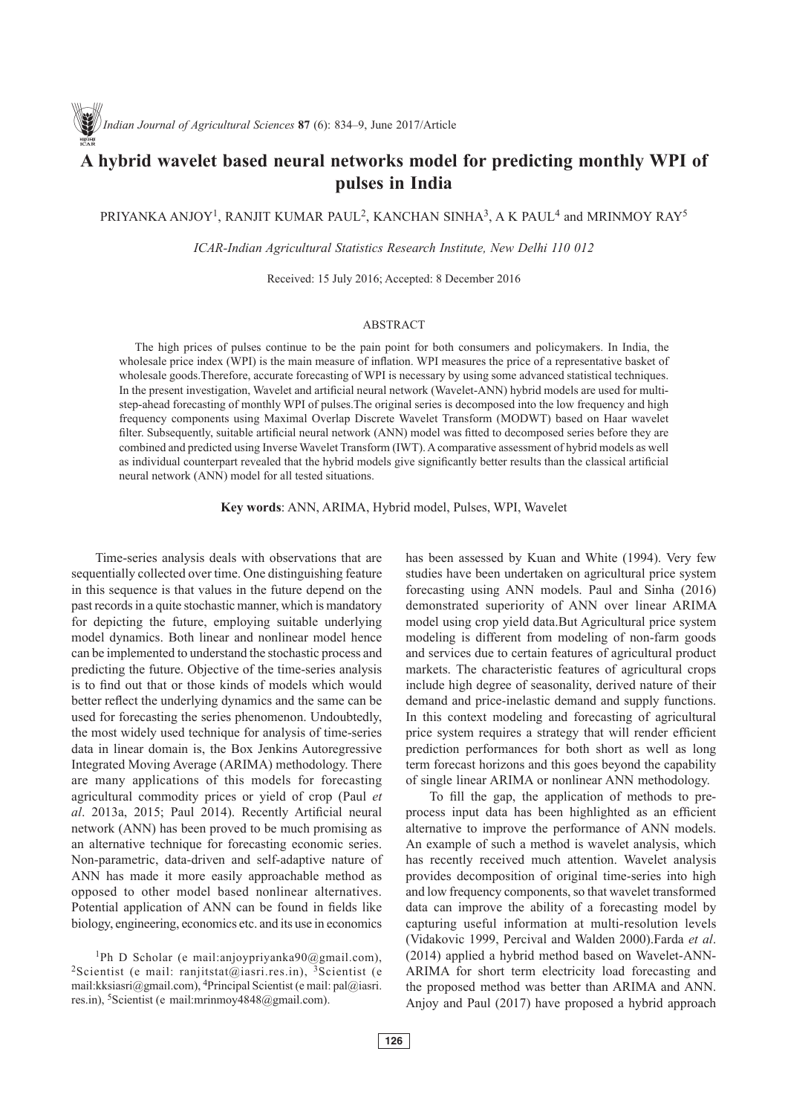# **A hybrid wavelet based neural networks model for predicting monthly WPI of pulses in India**

PRIYANKA ANJOY<sup>1</sup>, RANJIT KUMAR PAUL<sup>2</sup>, KANCHAN SINHA<sup>3</sup>, A K PAUL<sup>4</sup> and MRINMOY RAY<sup>5</sup>

*ICAR-Indian Agricultural Statistics Research Institute, New Delhi 110 012*

Received: 15 July 2016; Accepted: 8 December 2016

# ABSTRACT

The high prices of pulses continue to be the pain point for both consumers and policymakers. In India, the wholesale price index (WPI) is the main measure of inflation. WPI measures the price of a representative basket of wholesale goods.Therefore, accurate forecasting of WPI is necessary by using some advanced statistical techniques. In the present investigation, Wavelet and artificial neural network (Wavelet-ANN) hybrid models are used for multistep-ahead forecasting of monthly WPI of pulses.The original series is decomposed into the low frequency and high frequency components using Maximal Overlap Discrete Wavelet Transform (MODWT) based on Haar wavelet filter. Subsequently, suitable artificial neural network (ANN) model was fitted to decomposed series before they are combined and predicted using Inverse Wavelet Transform (IWT). A comparative assessment of hybrid models as well as individual counterpart revealed that the hybrid models give significantly better results than the classical artificial neural network (ANN) model for all tested situations.

**Key words**: ANN, ARIMA, Hybrid model, Pulses, WPI, Wavelet

Time-series analysis deals with observations that are sequentially collected over time. One distinguishing feature in this sequence is that values in the future depend on the past records in a quite stochastic manner, which is mandatory for depicting the future, employing suitable underlying model dynamics. Both linear and nonlinear model hence can be implemented to understand the stochastic process and predicting the future. Objective of the time-series analysis is to find out that or those kinds of models which would better reflect the underlying dynamics and the same can be used for forecasting the series phenomenon. Undoubtedly, the most widely used technique for analysis of time-series data in linear domain is, the Box Jenkins Autoregressive Integrated Moving Average (ARIMA) methodology. There are many applications of this models for forecasting agricultural commodity prices or yield of crop (Paul *et al*. 2013a, 2015; Paul 2014). Recently Artificial neural network (ANN) has been proved to be much promising as an alternative technique for forecasting economic series. Non-parametric, data-driven and self-adaptive nature of ANN has made it more easily approachable method as opposed to other model based nonlinear alternatives. Potential application of ANN can be found in fields like biology, engineering, economics etc. and its use in economics

1Ph D Scholar (e mail:anjoypriyanka90@gmail.com), <sup>2</sup>Scientist (e mail: ranjitstat@iasri.res.in), <sup>3</sup>Scientist (e mail:kksiasri@gmail.com), 4Principal Scientist (e mail: pal@iasri. res.in), 5Scientist (e mail:mrinmoy4848@gmail.com).

has been assessed by Kuan and White (1994). Very few studies have been undertaken on agricultural price system forecasting using ANN models. Paul and Sinha (2016) demonstrated superiority of ANN over linear ARIMA model using crop yield data.But Agricultural price system modeling is different from modeling of non-farm goods and services due to certain features of agricultural product markets. The characteristic features of agricultural crops include high degree of seasonality, derived nature of their demand and price-inelastic demand and supply functions. In this context modeling and forecasting of agricultural price system requires a strategy that will render efficient prediction performances for both short as well as long term forecast horizons and this goes beyond the capability of single linear ARIMA or nonlinear ANN methodology.

To fill the gap, the application of methods to preprocess input data has been highlighted as an efficient alternative to improve the performance of ANN models. An example of such a method is wavelet analysis, which has recently received much attention. Wavelet analysis provides decomposition of original time-series into high and low frequency components, so that wavelet transformed data can improve the ability of a forecasting model by capturing useful information at multi-resolution levels (Vidakovic 1999, Percival and Walden 2000).Farda *et al*. (2014) applied a hybrid method based on Wavelet-ANN-ARIMA for short term electricity load forecasting and the proposed method was better than ARIMA and ANN. Anjoy and Paul (2017) have proposed a hybrid approach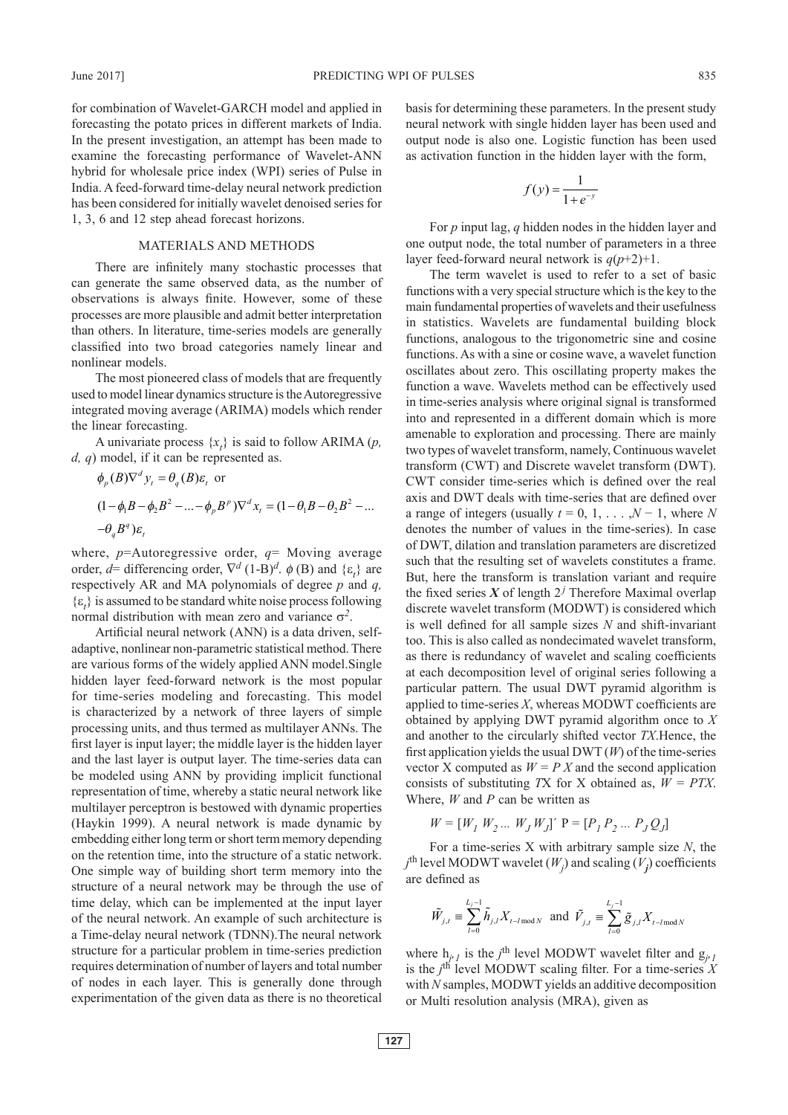for combination of Wavelet-GARCH model and applied in forecasting the potato prices in different markets of India. In the present investigation, an attempt has been made to examine the forecasting performance of Wavelet-ANN hybrid for wholesale price index (WPI) series of Pulse in India. A feed-forward time-delay neural network prediction has been considered for initially wavelet denoised series for 1, 3, 6 and 12 step ahead forecast horizons.

### MATERIALS AND METHODS

There are infinitely many stochastic processes that can generate the same observed data, as the number of observations is always finite. However, some of these processes are more plausible and admit better interpretation than others. In literature, time-series models are generally classified into two broad categories namely linear and nonlinear models.

The most pioneered class of models that are frequently used to model linear dynamics structure is the Autoregressive integrated moving average (ARIMA) models which render the linear forecasting.

A univariate process  $\{x_t\}$  is said to follow ARIMA (*p*, *d, q*) model, if it can be represented as.

$$
\phi_p(B)\nabla^d y_t = \theta_q(B)\varepsilon_t \text{ or}
$$
  
\n
$$
(1 - \phi_1 B - \phi_2 B^2 - \dots - \phi_p B^p)\nabla^d x_t = (1 - \theta_1 B - \theta_2 B^2 - \dots - \theta_q B^q)\varepsilon_t
$$

where, *p*=Autoregressive order, *q*= Moving average order,  $d=$  differencing order,  $\nabla^d$  (1-B)<sup>*d*</sup>.  $\phi$  (B) and  $\{\varepsilon_t\}$  are respectively AR and MA polynomials of degree *p* and *q,*   $\{\varepsilon_t\}$  is assumed to be standard white noise process following normal distribution with mean zero and variance  $\sigma^2$ .

Artificial neural network (ANN) is a data driven, selfadaptive, nonlinear non-parametric statistical method. There are various forms of the widely applied ANN model.Single hidden layer feed-forward network is the most popular for time-series modeling and forecasting. This model is characterized by a network of three layers of simple processing units, and thus termed as multilayer ANNs. The first layer is input layer; the middle layer is the hidden layer and the last layer is output layer. The time-series data can be modeled using ANN by providing implicit functional representation of time, whereby a static neural network like multilayer perceptron is bestowed with dynamic properties (Haykin 1999). A neural network is made dynamic by embedding either long term or short term memory depending on the retention time, into the structure of a static network. One simple way of building short term memory into the structure of a neural network may be through the use of time delay, which can be implemented at the input layer of the neural network. An example of such architecture is a Time-delay neural network (TDNN).The neural network structure for a particular problem in time-series prediction requires determination of number of layers and total number of nodes in each layer. This is generally done through experimentation of the given data as there is no theoretical

basis for determining these parameters. In the present study neural network with single hidden layer has been used and output node is also one. Logistic function has been used as activation function in the hidden layer with the form,

$$
f(y) = \frac{1}{1 + e^{-y}}
$$

For *p* input lag, *q* hidden nodes in the hidden layer and one output node, the total number of parameters in a three layer feed-forward neural network is  $q(p+2)+1$ .

The term wavelet is used to refer to a set of basic functions with a very special structure which is the key to the main fundamental properties of wavelets and their usefulness in statistics. Wavelets are fundamental building block functions, analogous to the trigonometric sine and cosine functions. As with a sine or cosine wave, a wavelet function oscillates about zero. This oscillating property makes the function a wave. Wavelets method can be effectively used in time-series analysis where original signal is transformed into and represented in a different domain which is more amenable to exploration and processing. There are mainly two types of wavelet transform, namely, Continuous wavelet transform (CWT) and Discrete wavelet transform (DWT). CWT consider time-series which is defined over the real axis and DWT deals with time-series that are defined over a range of integers (usually  $t = 0, 1, \ldots, N - 1$ , where *N* denotes the number of values in the time-series). In case of DWT, dilation and translation parameters are discretized such that the resulting set of wavelets constitutes a frame. But, here the transform is translation variant and require the fixed series  $X$  of length  $2<sup>j</sup>$  Therefore Maximal overlap discrete wavelet transform (MODWT) is considered which is well defined for all sample sizes *N* and shift-invariant too. This is also called as nondecimated wavelet transform, as there is redundancy of wavelet and scaling coefficients at each decomposition level of original series following a particular pattern. The usual DWT pyramid algorithm is applied to time-series *X*, whereas MODWT coefficients are obtained by applying DWT pyramid algorithm once to *X* and another to the circularly shifted vector *TX*.Hence, the first application yields the usual DWT (*W*) of the time-series vector X computed as  $W = P X$  and the second application consists of substituting *T*X for X obtained as, *W = PTX*. Where, *W* and *P* can be written as

$$
W = [W_1 \ W_2 \dots \ W_J \ W_J] \text{'} \ P = [P_1 \ P_2 \dots \ P_J \ Q_J]
$$

For a time-series X with arbitrary sample size *N*, the  $j^{\text{th}}$  level MODWT wavelet  $(W_j)$  and scaling  $(V_j)$  coefficients are defined as

$$
\tilde{W}_{j,t} \equiv \sum_{l=0}^{L_j - 1} \tilde{h}_{j,l} X_{t-l \mod N} \text{ and } \tilde{V}_{j,t} \equiv \sum_{l=0}^{L_j - 1} \tilde{g}_{j,l} X_{t-l \mod N}
$$

where  $h_{j'l}$  is the *j*<sup>th</sup> level MODWT wavelet filter and  $g_{j'l}$ is the  $j^{\text{th}}$  level MODWT scaling filter. For a time-series  $\hat{X}$ with *N* samples, MODWT yields an additive decomposition or Multi resolution analysis (MRA), given as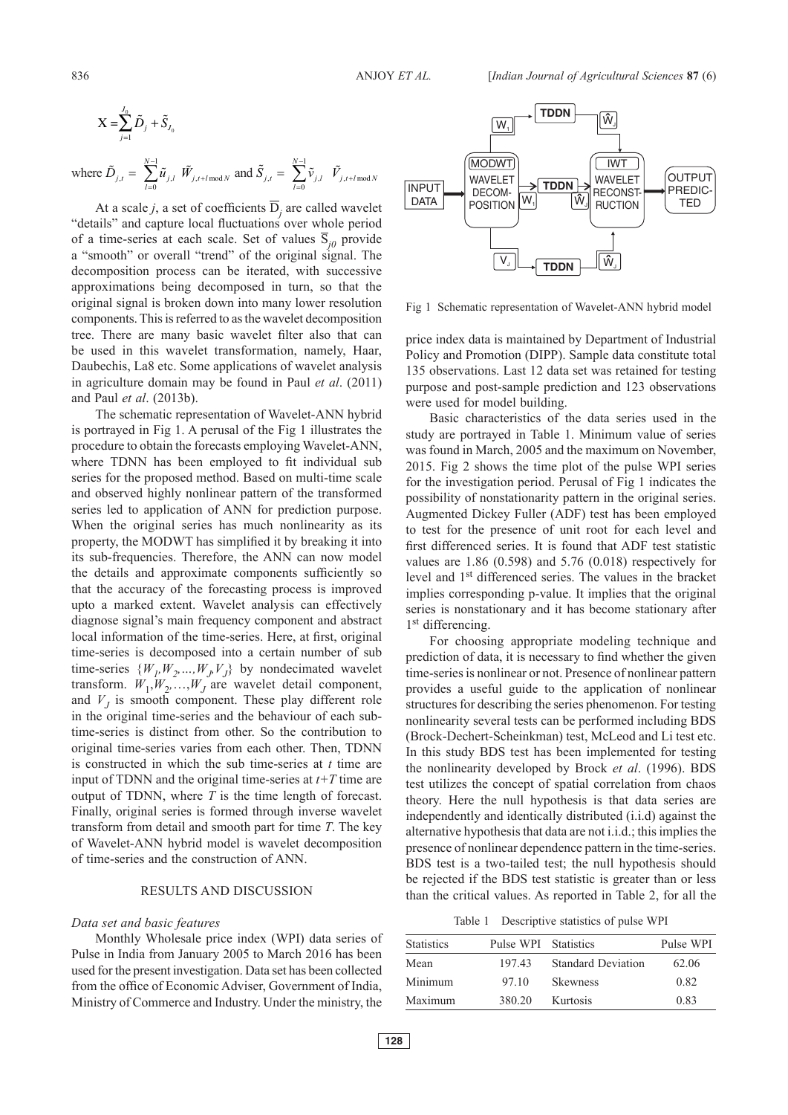$$
\mathbf{X} = \sum_{j=1}^{J_0} \tilde{D}_j + \tilde{S}_{J_0}
$$

where 
$$
\tilde{D}_{j,t} = \sum_{l=0}^{N-1} \tilde{u}_{j,l} \ \tilde{W}_{j,t+l \mod N}
$$
 and  $\tilde{S}_{j,t} = \sum_{l=0}^{N-1} \tilde{v}_{j,l} \ \tilde{V}_{j,t+l \mod N}$ 

At a scale *j*, a set of coefficients  $\overline{D}_j$  are called wavelet "details" and capture local fluctuations over whole period of a time-series at each scale. Set of values  $\overline{S}_{i0}$  provide a "smooth" or overall "trend" of the original signal. The decomposition process can be iterated, with successive approximations being decomposed in turn, so that the original signal is broken down into many lower resolution components. This is referred to as the wavelet decomposition tree. There are many basic wavelet filter also that can be used in this wavelet transformation, namely, Haar, Daubechis, La8 etc. Some applications of wavelet analysis in agriculture domain may be found in Paul *et al*. (2011) and Paul *et al*. (2013b).

The schematic representation of Wavelet-ANN hybrid is portrayed in Fig 1. A perusal of the Fig 1 illustrates the procedure to obtain the forecasts employing Wavelet-ANN, where TDNN has been employed to fit individual sub series for the proposed method. Based on multi-time scale and observed highly nonlinear pattern of the transformed series led to application of ANN for prediction purpose. When the original series has much nonlinearity as its property, the MODWT has simplified it by breaking it into its sub-frequencies. Therefore, the ANN can now model the details and approximate components sufficiently so that the accuracy of the forecasting process is improved upto a marked extent. Wavelet analysis can effectively diagnose signal's main frequency component and abstract local information of the time-series. Here, at first, original time-series is decomposed into a certain number of sub time-series  $\{W_1, W_2, ..., W_j, V_j\}$  by nondecimated wavelet transform.  $W_1, W_2, \ldots, W_J$  are wavelet detail component, and  $V_J$  is smooth component. These play different role in the original time-series and the behaviour of each subtime-series is distinct from other. So the contribution to original time-series varies from each other. Then, TDNN is constructed in which the sub time-series at *t* time are input of TDNN and the original time-series at *t+T* time are output of TDNN, where *T* is the time length of forecast. Finally, original series is formed through inverse wavelet transform from detail and smooth part for time *T*. The key of Wavelet-ANN hybrid model is wavelet decomposition of time-series and the construction of ANN.

#### RESULTS AND DISCUSSION

#### *Data set and basic features*

Monthly Wholesale price index (WPI) data series of Pulse in India from January 2005 to March 2016 has been used for the present investigation. Data set has been collected from the office of Economic Adviser, Government of India, Ministry of Commerce and Industry. Under the ministry, the



Fig 1 Schematic representation of Wavelet-ANN hybrid model

price index data is maintained by Department of Industrial Policy and Promotion (DIPP). Sample data constitute total 135 observations. Last 12 data set was retained for testing purpose and post-sample prediction and 123 observations were used for model building.

Basic characteristics of the data series used in the study are portrayed in Table 1. Minimum value of series was found in March, 2005 and the maximum on November, 2015. Fig 2 shows the time plot of the pulse WPI series for the investigation period. Perusal of Fig 1 indicates the possibility of nonstationarity pattern in the original series. Augmented Dickey Fuller (ADF) test has been employed to test for the presence of unit root for each level and first differenced series. It is found that ADF test statistic values are 1.86 (0.598) and 5.76 (0.018) respectively for level and 1st differenced series. The values in the bracket implies corresponding p-value. It implies that the original series is nonstationary and it has become stationary after 1<sup>st</sup> differencing.

For choosing appropriate modeling technique and prediction of data, it is necessary to find whether the given time-series is nonlinear or not. Presence of nonlinear pattern provides a useful guide to the application of nonlinear structures for describing the series phenomenon. For testing nonlinearity several tests can be performed including BDS (Brock-Dechert-Scheinkman) test, McLeod and Li test etc. In this study BDS test has been implemented for testing the nonlinearity developed by Brock *et al*. (1996). BDS test utilizes the concept of spatial correlation from chaos theory. Here the null hypothesis is that data series are independently and identically distributed (i.i.d) against the alternative hypothesis that data are not i.i.d.; this implies the presence of nonlinear dependence pattern in the time-series. BDS test is a two-tailed test; the null hypothesis should be rejected if the BDS test statistic is greater than or less than the critical values. As reported in Table 2, for all the

Table 1 Descriptive statistics of pulse WPI

| <b>Statistics</b> | Pulse WPI Statistics |                           | Pulse WPI |
|-------------------|----------------------|---------------------------|-----------|
| Mean              | 197.43               | <b>Standard Deviation</b> | 62.06     |
| Minimum           | 97.10                | <b>Skewness</b>           | 0.82      |
| Maximum           | 380.20               | Kurtosis                  | 0.83      |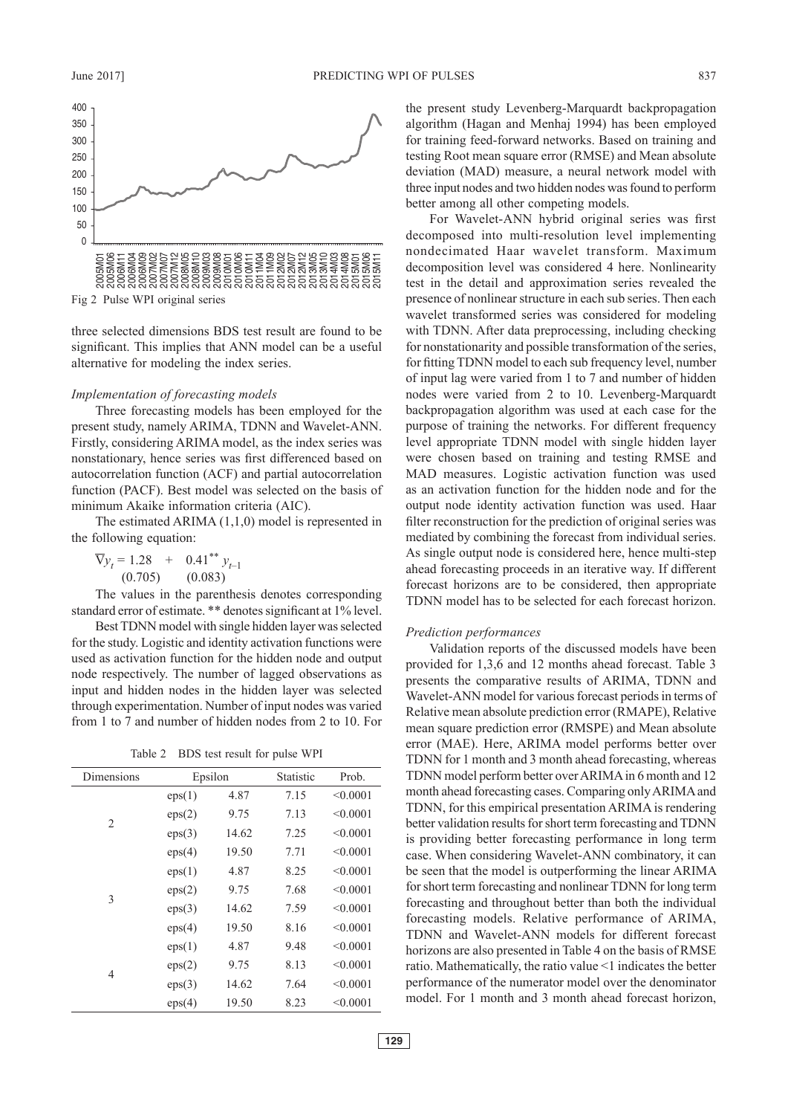

Fig 2 Pulse WPI original series

three selected dimensions BDS test result are found to be significant. This implies that ANN model can be a useful alternative for modeling the index series.

# *Implementation of forecasting models*

Three forecasting models has been employed for the present study, namely ARIMA, TDNN and Wavelet-ANN. Firstly, considering ARIMA model, as the index series was nonstationary, hence series was first differenced based on autocorrelation function (ACF) and partial autocorrelation function (PACF). Best model was selected on the basis of minimum Akaike information criteria (AIC).

The estimated ARIMA (1,1,0) model is represented in the following equation:

$$
\nabla y_t = 1.28 + 0.41^{**} y_{t-1}
$$
  
(0.705) (0.083)

The values in the parenthesis denotes corresponding standard error of estimate. \*\* denotes significant at 1% level.

Best TDNN model with single hidden layer was selected for the study. Logistic and identity activation functions were used as activation function for the hidden node and output node respectively. The number of lagged observations as input and hidden nodes in the hidden layer was selected through experimentation. Number of input nodes was varied from 1 to 7 and number of hidden nodes from 2 to 10. For

Table 2 BDS test result for pulse WPI

| Dimensions     | Epsilon |       | Statistic | Prob.    |
|----------------|---------|-------|-----------|----------|
|                | eps(1)  | 4.87  | 7.15      | < 0.0001 |
| $\overline{2}$ | eps(2)  | 9.75  | 7.13      | < 0.0001 |
|                | eps(3)  | 14.62 | 7.25      | < 0.0001 |
|                | eps(4)  | 19.50 | 7.71      | < 0.0001 |
|                | eps(1)  | 4.87  | 8.25      | < 0.0001 |
| 3              | eps(2)  | 9.75  | 7.68      | < 0.0001 |
|                | eps(3)  | 14.62 | 7.59      | < 0.0001 |
|                | eps(4)  | 19.50 | 8.16      | < 0.0001 |
|                | eps(1)  | 4.87  | 9.48      | < 0.0001 |
| 4              | eps(2)  | 9.75  | 8.13      | < 0.0001 |
|                | eps(3)  | 14.62 | 7.64      | < 0.0001 |
|                | eps(4)  | 19.50 | 8.23      | < 0.0001 |

the present study Levenberg-Marquardt backpropagation algorithm (Hagan and Menhaj 1994) has been employed for training feed-forward networks. Based on training and testing Root mean square error (RMSE) and Mean absolute deviation (MAD) measure, a neural network model with three input nodes and two hidden nodes was found to perform better among all other competing models.

For Wavelet-ANN hybrid original series was first decomposed into multi-resolution level implementing nondecimated Haar wavelet transform. Maximum decomposition level was considered 4 here. Nonlinearity test in the detail and approximation series revealed the presence of nonlinear structure in each sub series. Then each wavelet transformed series was considered for modeling with TDNN. After data preprocessing, including checking for nonstationarity and possible transformation of the series, for fitting TDNN model to each sub frequency level, number of input lag were varied from 1 to 7 and number of hidden nodes were varied from 2 to 10. Levenberg-Marquardt backpropagation algorithm was used at each case for the purpose of training the networks. For different frequency level appropriate TDNN model with single hidden layer were chosen based on training and testing RMSE and MAD measures. Logistic activation function was used as an activation function for the hidden node and for the output node identity activation function was used. Haar filter reconstruction for the prediction of original series was mediated by combining the forecast from individual series. As single output node is considered here, hence multi-step ahead forecasting proceeds in an iterative way. If different forecast horizons are to be considered, then appropriate TDNN model has to be selected for each forecast horizon.

## *Prediction performances*

Validation reports of the discussed models have been provided for 1,3,6 and 12 months ahead forecast. Table 3 presents the comparative results of ARIMA, TDNN and Wavelet-ANN model for various forecast periods in terms of Relative mean absolute prediction error (RMAPE), Relative mean square prediction error (RMSPE) and Mean absolute error (MAE). Here, ARIMA model performs better over TDNN for 1 month and 3 month ahead forecasting, whereas TDNN model perform better over ARIMA in 6 month and 12 month ahead forecasting cases. Comparing only ARIMA and TDNN, for this empirical presentation ARIMA is rendering better validation results for short term forecasting and TDNN is providing better forecasting performance in long term case. When considering Wavelet-ANN combinatory, it can be seen that the model is outperforming the linear ARIMA for short term forecasting and nonlinear TDNN for long term forecasting and throughout better than both the individual forecasting models. Relative performance of ARIMA, TDNN and Wavelet-ANN models for different forecast horizons are also presented in Table 4 on the basis of RMSE ratio. Mathematically, the ratio value <1 indicates the better performance of the numerator model over the denominator model. For 1 month and 3 month ahead forecast horizon,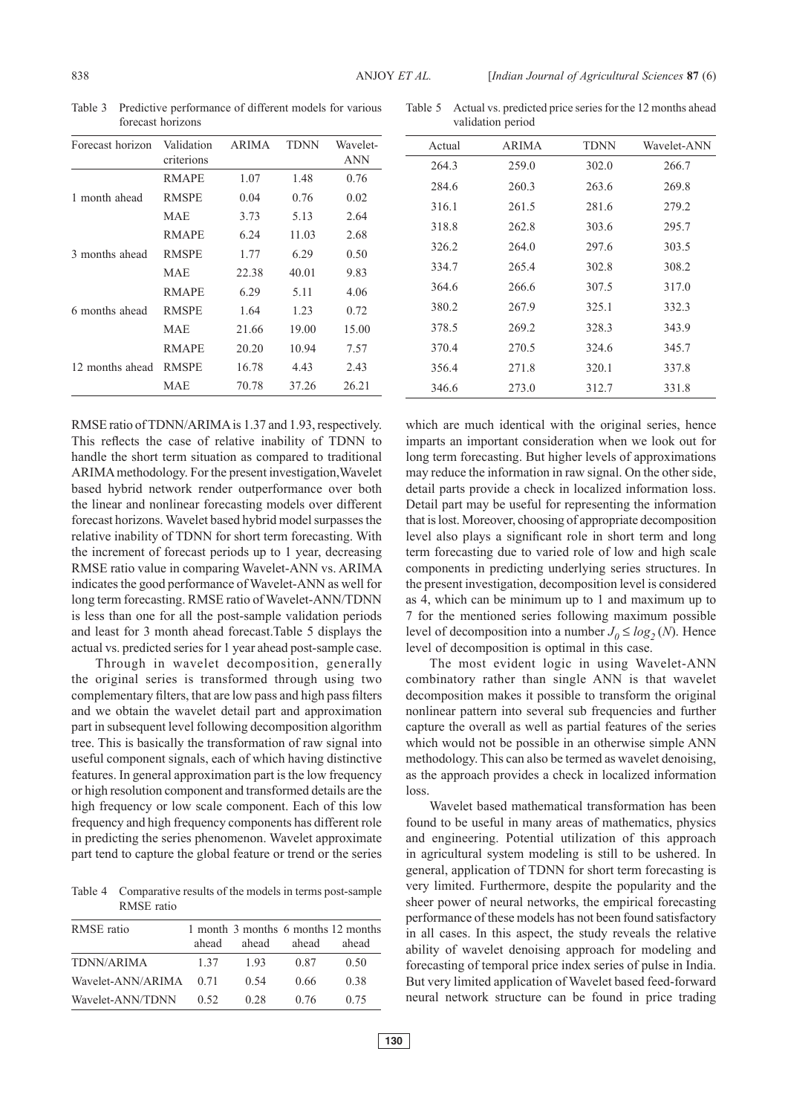| Forecast horizon | Validation<br>criterions | ARIMA | <b>TDNN</b> | Wavelet-<br>ANN |
|------------------|--------------------------|-------|-------------|-----------------|
|                  | RMAPE                    | 1.07  | 1.48        | 0.76            |
| 1 month ahead    | <b>RMSPE</b>             | 0.04  | 0.76        | 0.02            |
|                  | <b>MAE</b>               | 3.73  | 5.13        | 2.64            |
|                  | RMAPE                    | 6.24  | 11.03       | 2.68            |
| 3 months ahead   | <b>RMSPE</b>             | 1.77  | 6.29        | 0.50            |
|                  | <b>MAE</b>               | 22.38 | 40.01       | 9.83            |
|                  | <b>RMAPE</b>             | 6.29  | 5.11        | 4.06            |
| 6 months ahead   | <b>RMSPE</b>             | 1.64  | 1.23        | 0.72            |
|                  | <b>MAE</b>               | 21.66 | 19.00       | 15.00           |
|                  | RMAPE                    | 20.20 | 10.94       | 7.57            |
| 12 months ahead  | <b>RMSPE</b>             | 16.78 | 4.43        | 2.43            |
|                  | MAE                      | 70.78 | 37.26       | 26.21           |

Table 3 Predictive performance of different models for various forecast horizons

Table 5 Actual vs. predicted price series for the 12 months ahead validation period

| Actual | <b>ARIMA</b> | <b>TDNN</b> | Wavelet-ANN |
|--------|--------------|-------------|-------------|
| 264.3  | 259.0        | 302.0       | 266.7       |
| 284.6  | 260.3        | 263.6       | 269.8       |
| 316.1  | 261.5        | 281.6       | 279.2       |
| 318.8  | 262.8        | 303.6       | 295.7       |
| 326.2  | 264.0        | 297.6       | 303.5       |
| 334.7  | 265.4        | 302.8       | 308.2       |
| 364.6  | 266.6        | 307.5       | 317.0       |
| 380.2  | 267.9        | 325.1       | 332.3       |
| 378.5  | 269.2        | 328.3       | 343.9       |
| 370.4  | 270.5        | 324.6       | 345.7       |
| 356.4  | 271.8        | 320.1       | 337.8       |
| 346.6  | 273.0        | 312.7       | 331.8       |
|        |              |             |             |

RMSE ratio of TDNN/ARIMA is 1.37 and 1.93, respectively. This reflects the case of relative inability of TDNN to handle the short term situation as compared to traditional ARIMA methodology. For the present investigation,Wavelet based hybrid network render outperformance over both the linear and nonlinear forecasting models over different forecast horizons. Wavelet based hybrid model surpasses the relative inability of TDNN for short term forecasting. With the increment of forecast periods up to 1 year, decreasing RMSE ratio value in comparing Wavelet-ANN vs. ARIMA indicates the good performance of Wavelet-ANN as well for long term forecasting. RMSE ratio of Wavelet-ANN/TDNN is less than one for all the post-sample validation periods and least for 3 month ahead forecast.Table 5 displays the actual vs. predicted series for 1 year ahead post-sample case.

Through in wavelet decomposition, generally the original series is transformed through using two complementary filters, that are low pass and high pass filters and we obtain the wavelet detail part and approximation part in subsequent level following decomposition algorithm tree. This is basically the transformation of raw signal into useful component signals, each of which having distinctive features. In general approximation part is the low frequency or high resolution component and transformed details are the high frequency or low scale component. Each of this low frequency and high frequency components has different role in predicting the series phenomenon. Wavelet approximate part tend to capture the global feature or trend or the series

Table 4 Comparative results of the models in terms post-sample RMSE ratio

| RMSE ratio             |       |       |       | 1 month 3 months 6 months 12 months |
|------------------------|-------|-------|-------|-------------------------------------|
|                        | ahead | ahead | ahead | ahead                               |
| TDNN/ARIMA             | 1 37  | 193   | 0.87  | 0.50                                |
| Wavelet-ANN/ARIMA 0.71 |       | 0.54  | 0.66  | 0.38                                |
| Wavelet-ANN/TDNN       | 0.52  | 0.28  | 0.76  | 0.75                                |

which are much identical with the original series, hence imparts an important consideration when we look out for long term forecasting. But higher levels of approximations may reduce the information in raw signal. On the other side, detail parts provide a check in localized information loss. Detail part may be useful for representing the information that is lost. Moreover, choosing of appropriate decomposition level also plays a significant role in short term and long term forecasting due to varied role of low and high scale components in predicting underlying series structures. In the present investigation, decomposition level is considered as 4, which can be minimum up to 1 and maximum up to 7 for the mentioned series following maximum possible level of decomposition into a number  $J_0 \le log_2(N)$ . Hence level of decomposition is optimal in this case.

The most evident logic in using Wavelet-ANN combinatory rather than single ANN is that wavelet decomposition makes it possible to transform the original nonlinear pattern into several sub frequencies and further capture the overall as well as partial features of the series which would not be possible in an otherwise simple ANN methodology. This can also be termed as wavelet denoising, as the approach provides a check in localized information loss.

Wavelet based mathematical transformation has been found to be useful in many areas of mathematics, physics and engineering. Potential utilization of this approach in agricultural system modeling is still to be ushered. In general, application of TDNN for short term forecasting is very limited. Furthermore, despite the popularity and the sheer power of neural networks, the empirical forecasting performance of these models has not been found satisfactory in all cases. In this aspect, the study reveals the relative ability of wavelet denoising approach for modeling and forecasting of temporal price index series of pulse in India. But very limited application of Wavelet based feed-forward neural network structure can be found in price trading